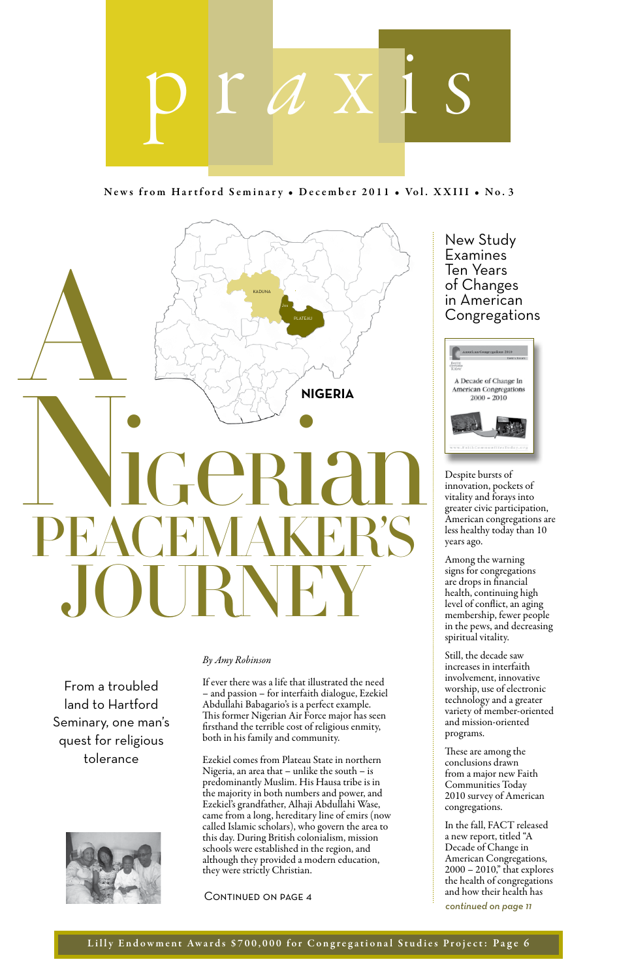

News from Hartford Seminary • December 2011 • Vol. XXIII • No. 3



From a troubled land to Hartford Seminary, one man's quest for religious tolerance



#### *By Amy Robinson*

If ever there was a life that illustrated the need – and passion – for interfaith dialogue, Ezekiel Abdullahi Babagario's is a perfect example. This former Nigerian Air Force major has seen firsthand the terrible cost of religious enmity, both in his family and community.

Ezekiel comes from Plateau State in northern Nigeria, an area that – unlike the south – is predominantly Muslim. His Hausa tribe is in the majority in both numbers and power, and Ezekiel's grandfather, Alhaji Abdullahi Wase, came from a long, hereditary line of emirs (now called Islamic scholars), who govern the area to this day. During British colonialism, mission schools were established in the region, and although they provided a modern education, they were strictly Christian.

Continued on page 4

New Study Examines Ten Years of Changes in American Congregations



Despite bursts of innovation, pockets of vitality and forays into greater civic participation, American congregations are less healthy today than 10 years ago.

Among the warning signs for congregations are drops in financial health, continuing high level of conflict, an aging membership, fewer people in the pews, and decreasing spiritual vitality.

Still, the decade saw increases in interfaith involvement, innovative worship, use of electronic technology and a greater variety of member-oriented and mission-oriented programs.

These are among the conclusions drawn from a major new Faith Communities Today 2010 survey of American congregations.

In the fall, FACT released a new report, titled "A Decade of Change in American Congregations, 2000 – 2010," that explores the health of congregations and how their health has *continued on page 11*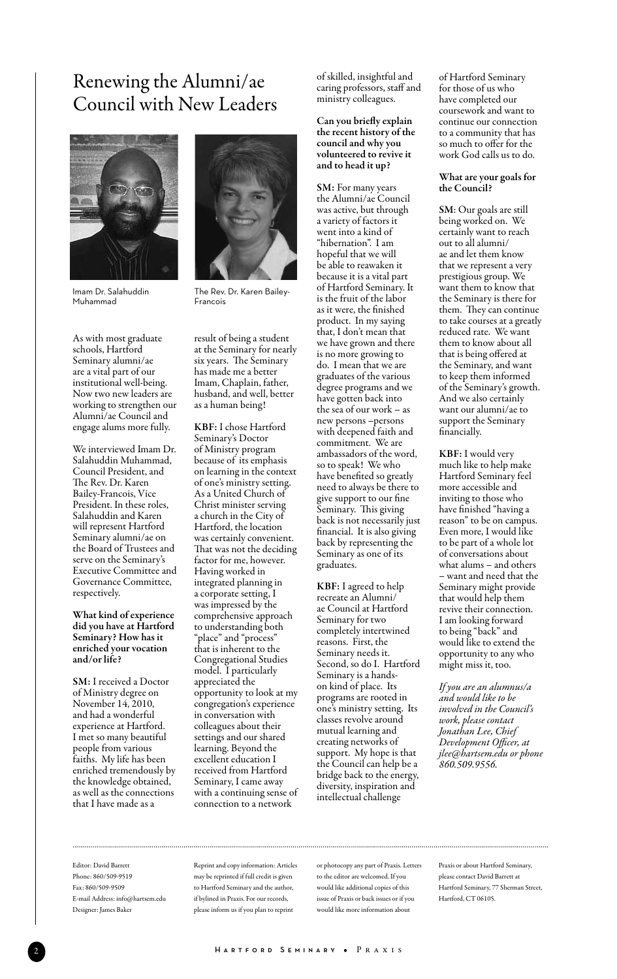# Renewing the Alumni/ae Council with New Leaders



Imam Dr. Salahuddin Muhammad

As with most graduate schools, Hartford Seminary alumni/ae are a vital part of our institutional well-being. Now two new leaders are working to strengthen our Alumni/ae Council and engage alums more fully.

We interviewed Imam Dr. Salahuddin Muhammad, Council President, and The Rev. Dr. Karen Bailey-Francois, Vice President. In these roles, Salahuddin and Karen will represent Hartford Seminary alumni/ae on the Board of Trustees and serve on the Seminary's Executive Committee and Governance Committee, respectively.

What kind of experience did you have at Hartford Seminary? How has it enriched your vocation and/or life?

SM: I received a Doctor of Ministry degree on November 14, 2010, and had a wonderful experience at Hartford. I met so many beautiful people from various faiths. My life has been enriched tremendously by the knowledge obtained, as well as the connections that I have made as a



The Rev. Dr. Karen Bailey-Francois

result of being a student at the Seminary for nearly six years. The Seminary has made me a better Imam, Chaplain, father, husband, and well, better as a human being!

KBF: I chose Hartford Seminary's Doctor of Ministry program because of its emphasis on learning in the context of one's ministry setting. As a United Church of Christ minister serving a church in the City of Hartford, the location was certainly convenient. That was not the deciding factor for me, however. Having worked in integrated planning in a corporate setting, I was impressed by the comprehensive approach to understanding both "place" and "process" that is inherent to the Congregational Studies model. I particularly appreciated the opportunity to look at my congregation's experience in conversation with colleagues about their settings and our shared learning. Beyond the excellent education I received from Hartford Seminary, I came away with a continuing sense of connection to a network

of skilled, insightful and caring professors, staff and ministry colleagues.

#### Can you briefly explain the recent history of the council and why you volunteered to revive it and to head it up?

SM: For many years the Alumni/ae Council was active, but through a variety of factors it went into a kind of "hibernation". I am hopeful that we will be able to reawaken it because it is a vital part of Hartford Seminary. It is the fruit of the labor as it were, the finished product. In my saying that, I don't mean that we have grown and there is no more growing to do. I mean that we are graduates of the various degree programs and we have gotten back into the sea of our work – as new persons –persons with deepened faith and commitment. We are ambassadors of the word, so to speak! We who have benefited so greatly need to always be there to give support to our fine Seminary. This giving back is not necessarily just financial. It is also giving back by representing the Seminary as one of its graduates.

KBF: I agreed to help recreate an Alumni/ ae Council at Hartford Seminary for two completely intertwined reasons. First, the Seminary needs it. Second, so do I. Hartford Seminary is a handson kind of place. Its programs are rooted in one's ministry setting. Its classes revolve around mutual learning and creating networks of support. My hope is that the Council can help be a bridge back to the energy, diversity, inspiration and intellectual challenge

of Hartford Seminary for those of us who have completed our coursework and want to continue our connection to a community that has so much to offer for the work God calls us to do.

#### What are your goals for the Council?

SM: Our goals are still being worked on. We certainly want to reach out to all alumni/ ae and let them know that we represent a very prestigious group. We want them to know that the Seminary is there for them. They can continue to take courses at a greatly reduced rate. We want them to know about all that is being offered at the Seminary, and want to keep them informed of the Seminary's growth. And we also certainly want our alumni/ae to support the Seminary financially.

KBF: I would very much like to help make Hartford Seminary feel more accessible and inviting to those who have finished "having a reason" to be on campus. Even more, I would like to be part of a whole lot of conversations about what alums – and others – want and need that the Seminary might provide that would help them revive their connection. I am looking forward to being "back" and would like to extend the opportunity to any who might miss it, too.

*If you are an alumnus/a and would like to be involved in the Council's work, please contact Jonathan Lee, Chief Development Officer, at jlee@hartsem.edu or phone 860.509.9556.*

Editor: David Barrett Phone: 860/509-9519 Fax: 860/509-9509 E-mail Address: info@hartsem.edu Designer: James Baker

Reprint and copy information: Articles may be reprinted if full credit is given to Hartford Seminary and the author, if bylined in Praxis. For our records, please inform us if you plan to reprint

or photocopy any part of Praxis. Letters to the editor are welcomed. If you would like additional copies of this issue of Praxis or back issues or if you would like more information about

Praxis or about Hartford Seminary, please contact David Barrett at Hartford Seminary, 77 Sherman Street, Hartford, CT 06105.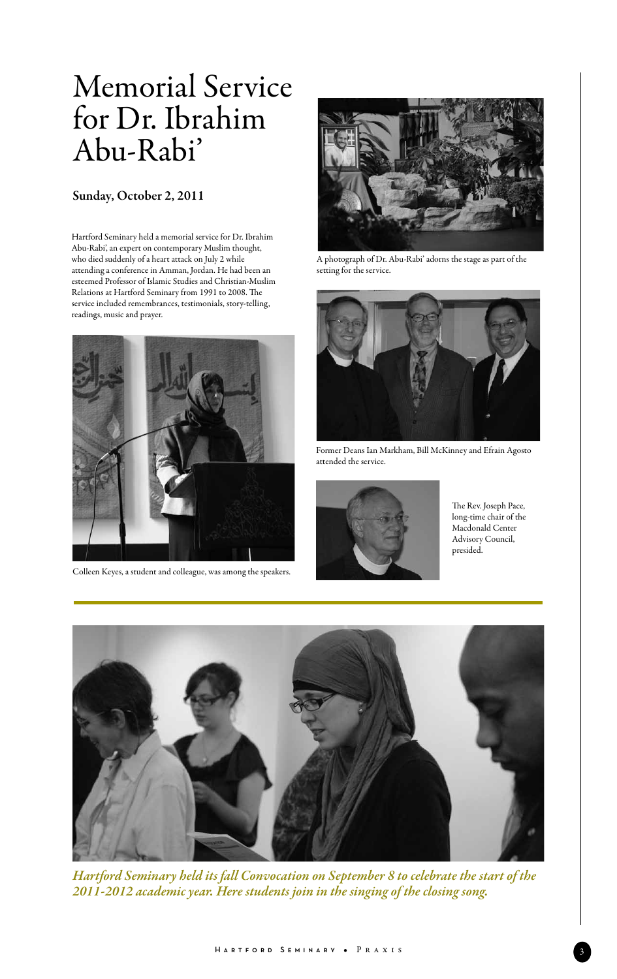# Memorial Service for Dr. Ibrahim Abu-Rabi'

#### Sunday, October 2, 2011

Hartford Seminary held a memorial service for Dr. Ibrahim Abu-Rabi', an expert on contemporary Muslim thought, who died suddenly of a heart attack on July 2 while attending a conference in Amman, Jordan. He had been an esteemed Professor of Islamic Studies and Christian-Muslim Relations at Hartford Seminary from 1991 to 2008. The service included remembrances, testimonials, story-telling, readings, music and prayer.



Colleen Keyes, a student and colleague, was among the speakers.



A photograph of Dr. Abu-Rabi' adorns the stage as part of the setting for the service.



Former Deans Ian Markham, Bill McKinney and Efrain Agosto attended the service.



The Rev. Joseph Pace, long-time chair of the Macdonald Center Advisory Council, presided.



*Hartford Seminary held its fall Convocation on September 8 to celebrate the start of the 2011-2012 academic year. Here students join in the singing of the closing song.*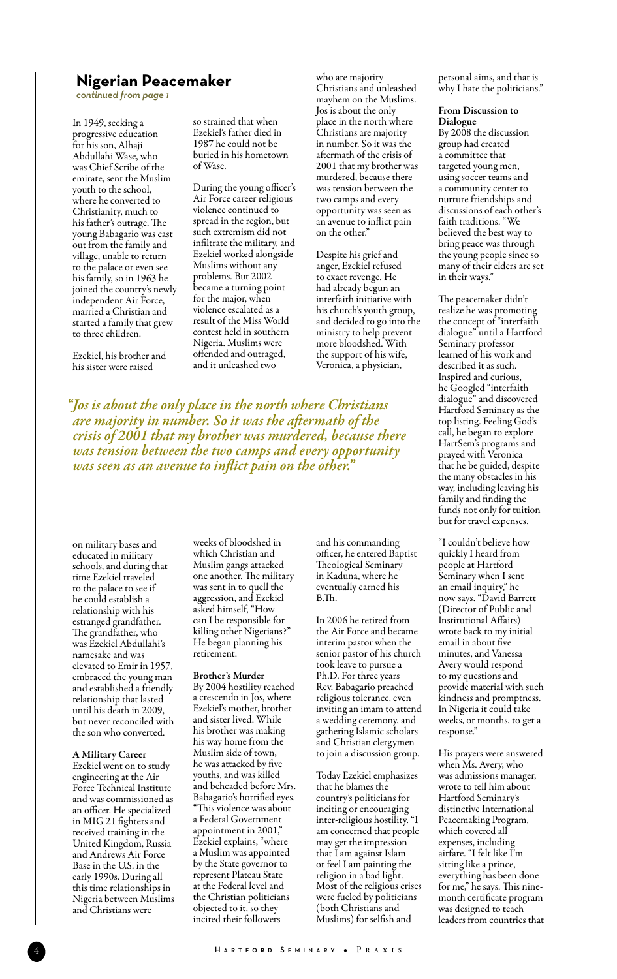#### **Nigerian Peacemaker**

*continued from page 1*

In 1949, seeking a progressive education for his son, Alhaji Abdullahi Wase, who was Chief Scribe of the emirate, sent the Muslim youth to the school, where he converted to Christianity, much to his father's outrage. The young Babagario was cast out from the family and village, unable to return to the palace or even see his family, so in 1963 he joined the country's newly independent Air Force, married a Christian and started a family that grew to three children.

Ezekiel, his brother and his sister were raised

so strained that when Ezekiel's father died in 1987 he could not be buried in his hometown of Wase.

During the young officer's Air Force career religious violence continued to spread in the region, but such extremism did not infiltrate the military, and Ezekiel worked alongside Muslims without any problems. But 2002 became a turning point for the major, when violence escalated as a result of the Miss World contest held in southern Nigeria. Muslims were offended and outraged, and it unleashed two

who are majority Christians and unleashed mayhem on the Muslims. Jos is about the only place in the north where Christians are majority in number. So it was the aftermath of the crisis of 2001 that my brother was murdered, because there was tension between the two camps and every opportunity was seen as an avenue to inflict pain on the other."

Despite his grief and anger, Ezekiel refused to exact revenge. He had already begun an interfaith initiative with his church's youth group, and decided to go into the ministry to help prevent more bloodshed. With the support of his wife, Veronica, a physician,

*"Jos is about the only place in the north where Christians are majority in number. So it was the aftermath of the crisis of 2001 that my brother was murdered, because there was tension between the two camps and every opportunity was seen as an avenue to inflict pain on the other."*

on military bases and educated in military schools, and during that time Ezekiel traveled to the palace to see if he could establish a relationship with his estranged grandfather. The grandfather, who was Ezekiel Abdullahi's namesake and was elevated to Emir in 1957, embraced the young man and established a friendly relationship that lasted until his death in 2009, but never reconciled with the son who converted.

#### A Military Career

Ezekiel went on to study engineering at the Air Force Technical Institute and was commissioned as an officer. He specialized in MIG 21 fighters and received training in the United Kingdom, Russia and Andrews Air Force Base in the U.S. in the early 1990s. During all this time relationships in Nigeria between Muslims and Christians were

weeks of bloodshed in which Christian and Muslim gangs attacked one another. The military was sent in to quell the aggression, and Ezekiel asked himself, "How can I be responsible for killing other Nigerians?" He began planning his retirement.

#### Brother's Murder

By 2004 hostility reached a crescendo in Jos, where Ezekiel's mother, brother and sister lived. While his brother was making his way home from the Muslim side of town, he was attacked by five youths, and was killed and beheaded before Mrs. Babagario's horrified eyes. "This violence was about a Federal Government appointment in 2001," Ezekiel explains, "where a Muslim was appointed by the State governor to represent Plateau State at the Federal level and the Christian politicians objected to it, so they incited their followers

and his commanding officer, he entered Baptist Theological Seminary in Kaduna, where he eventually earned his B.Th.

In 2006 he retired from the Air Force and became interim pastor when the senior pastor of his church took leave to pursue a Ph.D. For three years Rev. Babagario preached religious tolerance, even inviting an imam to attend a wedding ceremony, and gathering Islamic scholars and Christian clergymen to join a discussion group.

Today Ezekiel emphasizes that he blames the country's politicians for inciting or encouraging inter-religious hostility. "I am concerned that people may get the impression that I am against Islam or feel I am painting the religion in a bad light. Most of the religious crises were fueled by politicians (both Christians and Muslims) for selfish and

personal aims, and that is why I hate the politicians."

#### From Discussion to Dialogue

By 2008 the discussion group had created a committee that targeted young men, using soccer teams and a community center to nurture friendships and discussions of each other's faith traditions. "We believed the best way to bring peace was through the young people since so many of their elders are set in their ways."

The peacemaker didn't realize he was promoting the concept of "interfaith dialogue" until a Hartford Seminary professor learned of his work and described it as such. Inspired and curious, he Googled "interfaith dialogue" and discovered Hartford Seminary as the top listing. Feeling God's call, he began to explore HartSem's programs and prayed with Veronica that he be guided, despite the many obstacles in his way, including leaving his family and finding the funds not only for tuition but for travel expenses.

"I couldn't believe how quickly I heard from people at Hartford Seminary when I sent an email inquiry," he now says. "David Barrett (Director of Public and Institutional Affairs) wrote back to my initial email in about five minutes, and Vanessa Avery would respond to my questions and provide material with such kindness and promptness. In Nigeria it could take weeks, or months, to get a response."

His prayers were answered when Ms. Avery, who was admissions manager, wrote to tell him about Hartford Seminary's distinctive International Peacemaking Program, which covered all expenses, including airfare. "I felt like I'm sitting like a prince, everything has been done for me," he says. This ninemonth certificate program was designed to teach leaders from countries that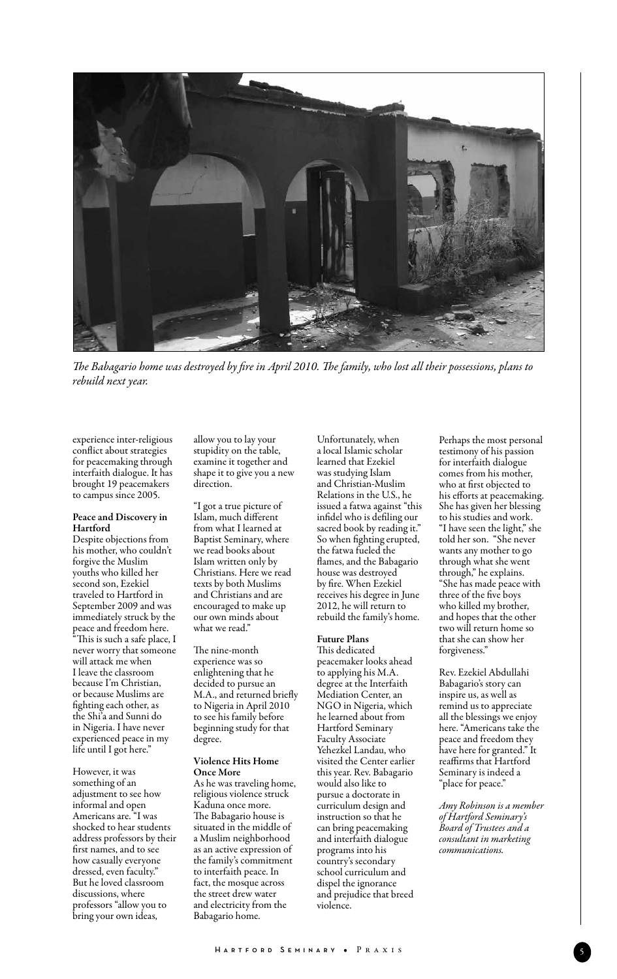

*The Babagario home was destroyed by fire in April 2010. The family, who lost all their possessions, plans to rebuild next year.*

experience inter-religious conflict about strategies for peacemaking through interfaith dialogue. It has brought 19 peacemakers to campus since 2005.

#### Peace and Discovery in Hartford

Despite objections from his mother, who couldn't forgive the Muslim youths who killed her second son, Ezekiel traveled to Hartford in September 2009 and was immediately struck by the peace and freedom here.

"This is such a safe place, I never worry that someone will attack me when I leave the classroom because I'm Christian, or because Muslims are fighting each other, as the Shi'a and Sunni do in Nigeria. I have never experienced peace in my life until I got here."

However, it was something of an adjustment to see how informal and open Americans are. "I was shocked to hear students address professors by their first names, and to see how casually everyone dressed, even faculty." But he loved classroom discussions, where professors "allow you to bring your own ideas,

allow you to lay your stupidity on the table, examine it together and shape it to give you a new direction.

"I got a true picture of Islam, much different from what I learned at Baptist Seminary, where we read books about Islam written only by Christians. Here we read texts by both Muslims and Christians and are encouraged to make up our own minds about what we read."

The nine-month experience was so enlightening that he decided to pursue an M.A., and returned briefly to Nigeria in April 2010 to see his family before beginning study for that degree.

#### Violence Hits Home Once More

As he was traveling home, religious violence struck Kaduna once more. The Babagario house is situated in the middle of a Muslim neighborhood as an active expression of the family's commitment to interfaith peace. In fact, the mosque across the street drew water and electricity from the Babagario home.

Unfortunately, when a local Islamic scholar learned that Ezekiel was studying Islam and Christian-Muslim Relations in the U.S., he issued a fatwa against "this infidel who is defiling our sacred book by reading it." So when fighting erupted, the fatwa fueled the flames, and the Babagario house was destroyed by fire. When Ezekiel receives his degree in June 2012, he will return to rebuild the family's home.

#### Future Plans

This dedicated peacemaker looks ahead to applying his M.A. degree at the Interfaith Mediation Center, an NGO in Nigeria, which he learned about from Hartford Seminary Faculty Associate Yehezkel Landau, who visited the Center earlier this year. Rev. Babagario would also like to pursue a doctorate in curriculum design and instruction so that he can bring peacemaking and interfaith dialogue programs into his country's secondary school curriculum and dispel the ignorance and prejudice that breed violence.

Perhaps the most personal testimony of his passion for interfaith dialogue comes from his mother, who at first objected to his efforts at peacemaking. She has given her blessing to his studies and work. "I have seen the light," she told her son. "She never wants any mother to go through what she went through," he explains. "She has made peace with three of the five boys who killed my brother, and hopes that the other two will return home so that she can show her forgiveness."

Rev. Ezekiel Abdullahi Babagario's story can inspire us, as well as remind us to appreciate all the blessings we enjoy here. "Americans take the peace and freedom they have here for granted." It reaffirms that Hartford Seminary is indeed a "place for peace."

*Amy Robinson is a member of Hartford Seminary's Board of Trustees and a consultant in marketing communications.*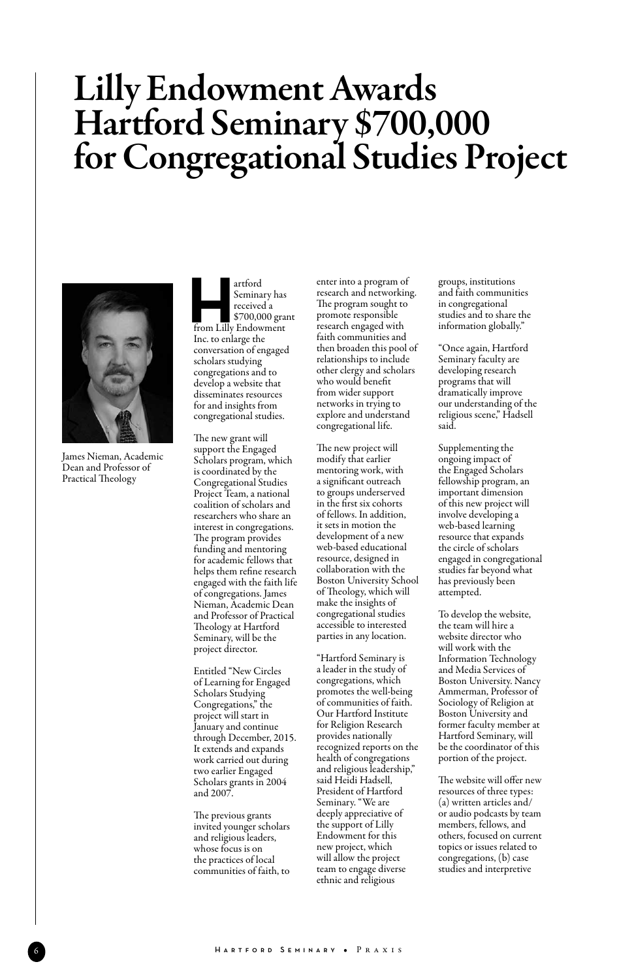# Lilly Endowment Awards Hartford Seminary \$700,000 for Congregational Studies Project



James Nieman, Academic Dean and Professor of Practical Theology

 artford Seminary has received a \$700,000 grant artford<br>
Seminary has<br>
received a<br>  $$700,000$  gran<br>
from Lilly Endowment Inc. to enlarge the conversation of engaged scholars studying congregations and to develop a website that disseminates resources for and insights from congregational studies.

The new grant will support the Engaged Scholars program, which is coordinated by the Congregational Studies Project Team, a national coalition of scholars and researchers who share an interest in congregations. The program provides funding and mentoring for academic fellows that helps them refine research engaged with the faith life of congregations. James Nieman, Academic Dean and Professor of Practical Theology at Hartford Seminary, will be the project director.

Entitled "New Circles of Learning for Engaged Scholars Studying Congregations," the project will start in January and continue through December, 2015. It extends and expands work carried out during two earlier Engaged Scholars grants in 2004 and 2007.

The previous grants invited younger scholars and religious leaders, whose focus is on the practices of local communities of faith, to

enter into a program of research and networking. The program sought to promote responsible research engaged with faith communities and then broaden this pool of relationships to include other clergy and scholars who would benefit from wider support networks in trying to explore and understand congregational life.

The new project will modify that earlier mentoring work, with a significant outreach to groups underserved in the first six cohorts of fellows. In addition, it sets in motion the development of a new web-based educational resource, designed in collaboration with the Boston University School of Theology, which will make the insights of congregational studies accessible to interested parties in any location.

"Hartford Seminary is a leader in the study of congregations, which promotes the well-being of communities of faith. Our Hartford Institute for Religion Research provides nationally recognized reports on the health of congregations and religious leadership," said Heidi Hadsell, President of Hartford Seminary. "We are deeply appreciative of the support of Lilly Endowment for this new project, which will allow the project team to engage diverse ethnic and religious

groups, institutions and faith communities in congregational studies and to share the information globally."

"Once again, Hartford Seminary faculty are developing research programs that will dramatically improve our understanding of the religious scene," Hadsell said.

Supplementing the ongoing impact of the Engaged Scholars fellowship program, an important dimension of this new project will involve developing a web-based learning resource that expands the circle of scholars engaged in congregational studies far beyond what has previously been attempted.

To develop the website, the team will hire a website director who will work with the Information Technology and Media Services of Boston University. Nancy Ammerman, Professor of Sociology of Religion at Boston University and former faculty member at Hartford Seminary, will be the coordinator of this portion of the project.

The website will offer new resources of three types: (a) written articles and/ or audio podcasts by team members, fellows, and others, focused on current topics or issues related to congregations, (b) case studies and interpretive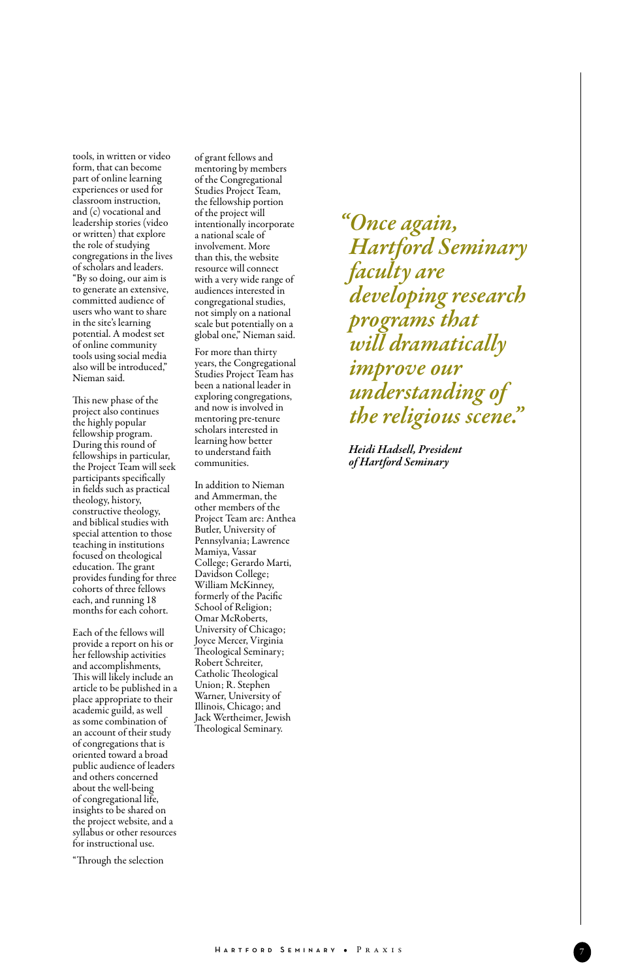tools, in written or video form, that can become part of online learning experiences or used for classroom instruction, and (c) vocational and leadership stories (video or written) that explore the role of studying congregations in the lives of scholars and leaders. "By so doing, our aim is to generate an extensive, committed audience of users who want to share in the site's learning potential. A modest set of online community tools using social media also will be introduced," Nieman said.

This new phase of the project also continues the highly popular fellowship program. During this round of fellowships in particular, the Project Team will seek participants specifically in fields such as practical theology, history, constructive theology, and biblical studies with special attention to those teaching in institutions focused on theological education. The grant provides funding for three cohorts of three fellows each, and running 18 months for each cohort.

Each of the fellows will provide a report on his or her fellowship activities and accomplishments, This will likely include an article to be published in a place appropriate to their academic guild, as well as some combination of an account of their study of congregations that is oriented toward a broad public audience of leaders and others concerned about the well-being of congregational life, insights to be shared on the project website, and a syllabus or other resources for instructional use.

"Through the selection

of grant fellows and mentoring by members of the Congregational Studies Project Team, the fellowship portion of the project will intentionally incorporate a national scale of involvement. More than this, the website resource will connect with a very wide range of audiences interested in congregational studies, not simply on a national scale but potentially on a global one," Nieman said.

For more than thirty years, the Congregational Studies Project Team has been a national leader in exploring congregations, and now is involved in mentoring pre-tenure scholars interested in learning how better to understand faith communities.

In addition to Nieman and Ammerman, the other members of the Project Team are: Anthea Butler, University of Pennsylvania; Lawrence Mamiya, Vassar College; Gerardo Marti, Davidson College; William McKinney, formerly of the Pacific School of Religion; Omar McRoberts, University of Chicago; Joyce Mercer, Virginia Theological Seminary; Robert Schreiter, Catholic Theological Union; R. Stephen Warner, University of Illinois, Chicago; and Jack Wertheimer, Jewish Theological Seminary.

*"Once again, Hartford Seminary faculty are developing research programs that will dramatically improve our understanding of the religious scene."*

 *Heidi Hadsell, President of Hartford Seminary*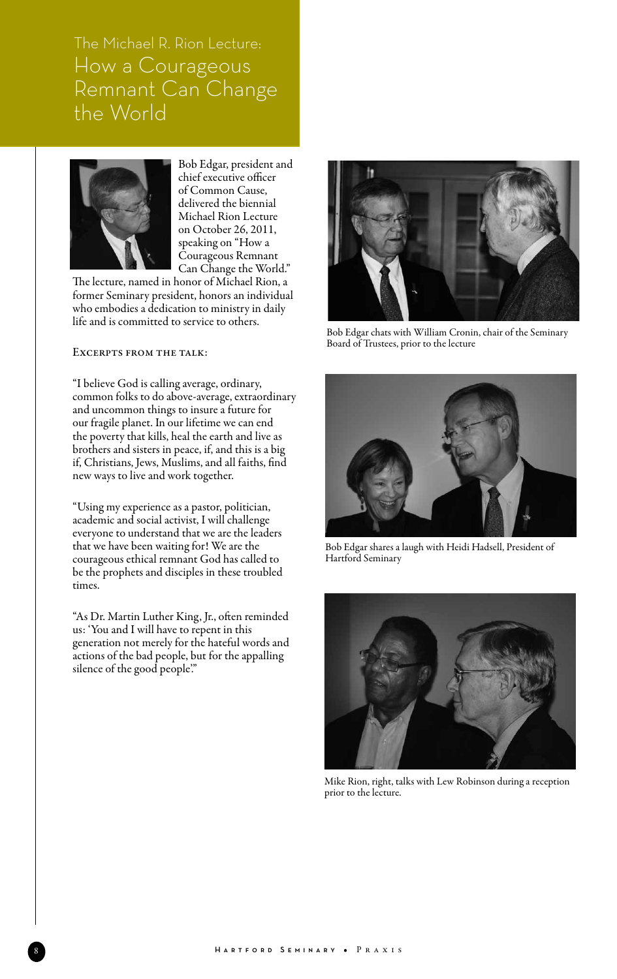The Michael R. Rion Lecture: How a Courageous Remnant Can Change the World



Bob Edgar, president and chief executive officer of Common Cause, delivered the biennial Michael Rion Lecture on October 26, 2011, speaking on "How a Courageous Remnant Can Change the World."

The lecture, named in honor of Michael Rion, a former Seminary president, honors an individual who embodies a dedication to ministry in daily life and is committed to service to others.

#### Excerpts from the talk:

"I believe God is calling average, ordinary, common folks to do above-average, extraordinary and uncommon things to insure a future for our fragile planet. In our lifetime we can end the poverty that kills, heal the earth and live as brothers and sisters in peace, if, and this is a big if, Christians, Jews, Muslims, and all faiths, find new ways to live and work together.

"Using my experience as a pastor, politician, academic and social activist, I will challenge everyone to understand that we are the leaders that we have been waiting for! We are the courageous ethical remnant God has called to be the prophets and disciples in these troubled times.

"As Dr. Martin Luther King, Jr., often reminded us: 'You and I will have to repent in this generation not merely for the hateful words and actions of the bad people, but for the appalling silence of the good people."



Bob Edgar chats with William Cronin, chair of the Seminary Board of Trustees, prior to the lecture



Bob Edgar shares a laugh with Heidi Hadsell, President of Hartford Seminary



Mike Rion, right, talks with Lew Robinson during a reception prior to the lecture.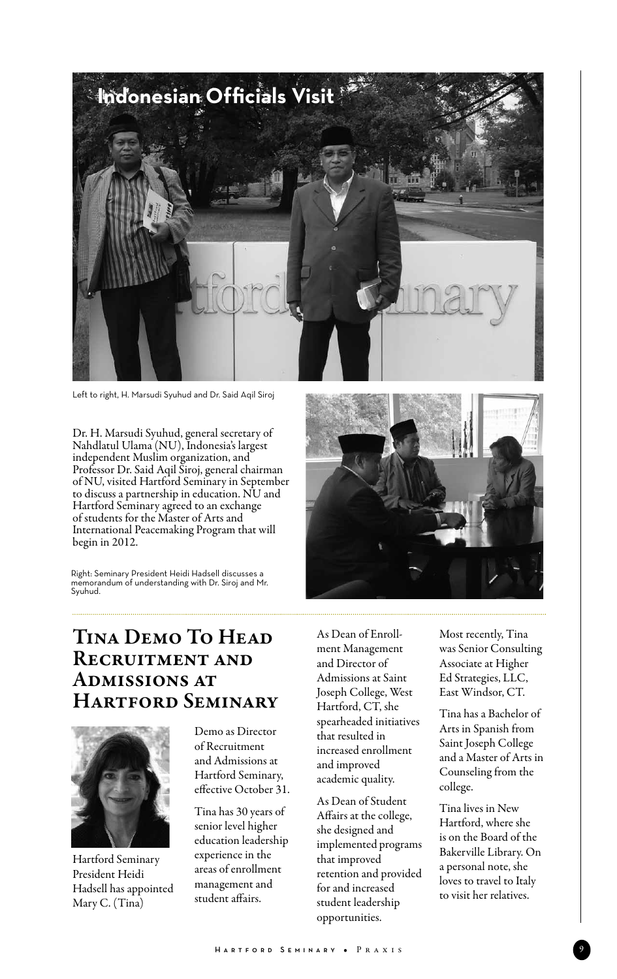

Left to right, H. Marsudi Syuhud and Dr. Said Aqil Siroj

Dr. H. Marsudi Syuhud, general secretary of Nahdlatul Ulama (NU), Indonesia's largest independent Muslim organization, and Professor Dr. Said Aqil Siroj, general chairman of NU, visited Hartford Seminary in September to discuss a partnership in education. NU and Hartford Seminary agreed to an exchange of students for the Master of Arts and International Peacemaking Program that will begin in 2012.

Right: Seminary President Heidi Hadsell discusses a memorandum of understanding with Dr. Siroj and Mr. Syuhud.



# Tina Demo To Head Recruitment and Admissions at Hartford Seminary



Hartford Seminary President Heidi Hadsell has appointed Mary C. (Tina)

Demo as Director of Recruitment and Admissions at Hartford Seminary, effective October 31.

Tina has 30 years of senior level higher education leadership experience in the areas of enrollment management and student affairs.

As Dean of Enrollment Management and Director of Admissions at Saint Joseph College, West Hartford, CT, she spearheaded initiatives that resulted in increased enrollment and improved academic quality.

As Dean of Student Affairs at the college, she designed and implemented programs that improved retention and provided for and increased student leadership opportunities.

Most recently, Tina was Senior Consulting Associate at Higher Ed Strategies, LLC, East Windsor, CT.

Tina has a Bachelor of Arts in Spanish from Saint Joseph College and a Master of Arts in Counseling from the college.

Tina lives in New Hartford, where she is on the Board of the Bakerville Library. On a personal note, she loves to travel to Italy to visit her relatives.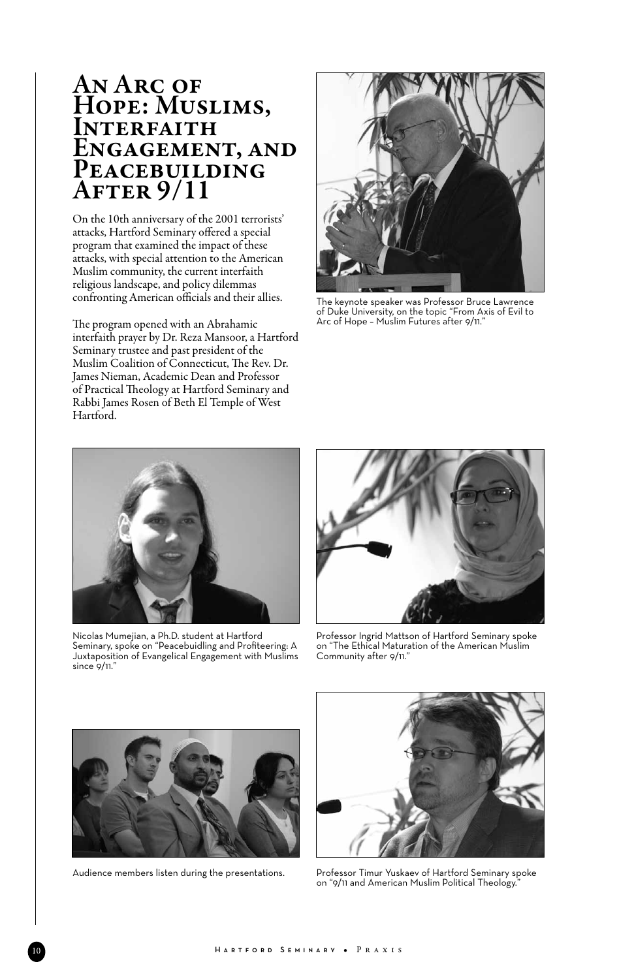# AN ARC OF HOPE: MUSLIMS, **INTERFAITH** Engagement, and PEACEBUILDING After 9/11

On the 10th anniversary of the 2001 terrorists' attacks, Hartford Seminary offered a special program that examined the impact of these attacks, with special attention to the American Muslim community, the current interfaith religious landscape, and policy dilemmas confronting American officials and their allies.

The program opened with an Abrahamic interfaith prayer by Dr. Reza Mansoor, a Hartford Seminary trustee and past president of the Muslim Coalition of Connecticut, The Rev. Dr. James Nieman, Academic Dean and Professor of Practical Theology at Hartford Seminary and Rabbi James Rosen of Beth El Temple of West Hartford.



The keynote speaker was Professor Bruce Lawrence of Duke University, on the topic "From Axis of Evil to Arc of Hope – Muslim Futures after 9/11."



Nicolas Mumejian, a Ph.D. student at Hartford Seminary, spoke on "Peacebuidling and Profiteering: A Juxtaposition of Evangelical Engagement with Muslims since 9/11."



Professor Ingrid Mattson of Hartford Seminary spoke on "The Ethical Maturation of the American Muslim Community after 9/11."



Audience members listen during the presentations.



Professor Timur Yuskaev of Hartford Seminary spoke on "9/11 and American Muslim Political Theology."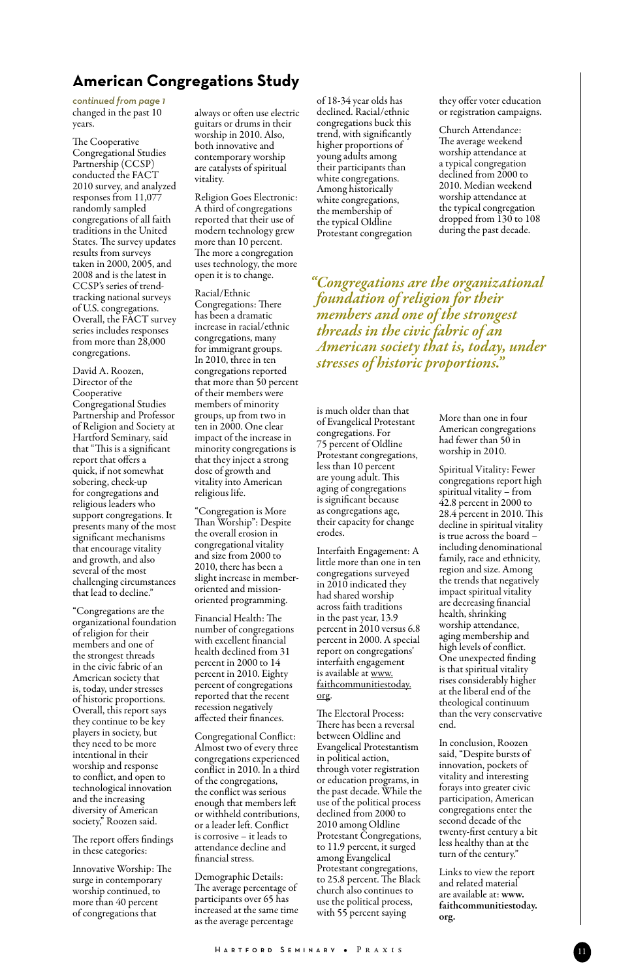## **American Congregations Study**

changed in the past 10 years. *continued from page 1*

The Cooperative Congregational Studies Partnership (CCSP) conducted the FACT 2010 survey, and analyzed responses from 11,077 randomly sampled congregations of all faith traditions in the United States. The survey updates results from surveys taken in 2000, 2005, and 2008 and is the latest in CCSP's series of trendtracking national surveys of U.S. congregations. Overall, the FACT survey series includes responses from more than 28,000 congregations.

David A. Roozen, Director of the Cooperative Congregational Studies Partnership and Professor of Religion and Society at Hartford Seminary, said that "This is a significant report that offers a quick, if not somewhat sobering, check-up for congregations and religious leaders who support congregations. It presents many of the most significant mechanisms that encourage vitality and growth, and also several of the most challenging circumstances that lead to decline."

"Congregations are the organizational foundation of religion for their members and one of the strongest threads in the civic fabric of an American society that is, today, under stresses of historic proportions. Overall, this report says they continue to be key players in society, but they need to be more intentional in their worship and response to conflict, and open to technological innovation and the increasing diversity of American society," Roozen said.

The report offers findings in these categories:

Innovative Worship: The surge in contemporary worship continued, to more than 40 percent of congregations that

always or often use electric guitars or drums in their worship in 2010. Also, both innovative and contemporary worship are catalysts of spiritual vitality.

Religion Goes Electronic: A third of congregations reported that their use of modern technology grew more than 10 percent. The more a congregation uses technology, the more open it is to change.

Racial/Ethnic Congregations: There has been a dramatic increase in racial/ethnic congregations, many for immigrant groups. In 2010, three in ten congregations reported that more than 50 percent of their members were members of minority groups, up from two in ten in 2000. One clear impact of the increase in minority congregations is that they inject a strong dose of growth and vitality into American religious life.

"Congregation is More Than Worship": Despite the overall erosion in congregational vitality and size from 2000 to 2010, there has been a slight increase in memberoriented and missionoriented programming.

Financial Health: The number of congregations with excellent financial health declined from 31 percent in 2000 to 14 percent in 2010. Eighty percent of congregations reported that the recent recession negatively affected their finances.

Congregational Conflict: Almost two of every three congregations experienced conflict in 2010. In a third of the congregations, the conflict was serious enough that members left or withheld contributions, or a leader left. Conflict is corrosive – it leads to attendance decline and financial stress.

Demographic Details: The average percentage of participants over 65 has increased at the same time as the average percentage

of 18-34 year olds has declined. Racial/ethnic congregations buck this trend, with significantly higher proportions of young adults among their participants than white congregations. Among historically white congregations, the membership of the typical Oldline Protestant congregation

they offer voter education or registration campaigns.

Church Attendance: The average weekend worship attendance at a typical congregation declined from 2000 to 2010. Median weekend worship attendance at the typical congregation dropped from 130 to 108 during the past decade.

*"Congregations are the organizational foundation of religion for their members and one of the strongest threads in the civic fabric of an American society that is, today, under stresses of historic proportions."*

is much older than that of Evangelical Protestant congregations. For 75 percent of Oldline Protestant congregations, less than 10 percent are young adult. This aging of congregations is significant because as congregations age, their capacity for change erodes.

Interfaith Engagement: A little more than one in ten congregations surveyed in 2010 indicated they had shared worship across faith traditions in the past year, 13.9 percent in 2010 versus 6.8 percent in 2000. A special report on congregations' interfaith engagement is available at www. faithcommunitiestoday. org.

The Electoral Process: There has been a reversal between Oldline and Evangelical Protestantism in political action, through voter registration or education programs, in the past decade. While the use of the political process declined from 2000 to 2010 among Oldline Protestant Congregations, to 11.9 percent, it surged among Evangelical Protestant congregations, to 25.8 percent. The Black church also continues to use the political process, with 55 percent saying

More than one in four American congregations had fewer than 50 in worship in 2010.

Spiritual Vitality: Fewer congregations report high spiritual vitality – from  $42.8$  percent in 2000 to 28.4 percent in 2010. This decline in spiritual vitality is true across the board – including denominational family, race and ethnicity, region and size. Among the trends that negatively impact spiritual vitality are decreasing financial health, shrinking worship attendance, aging membership and high levels of conflict. One unexpected finding is that spiritual vitality rises considerably higher at the liberal end of the theological continuum than the very conservative end.

In conclusion, Roozen said, "Despite bursts of innovation, pockets of vitality and interesting forays into greater civic participation, American congregations enter the second decade of the twenty-first century a bit less healthy than at the turn of the century."

Links to view the report and related material are available at: www. faithcommunitiestoday. org.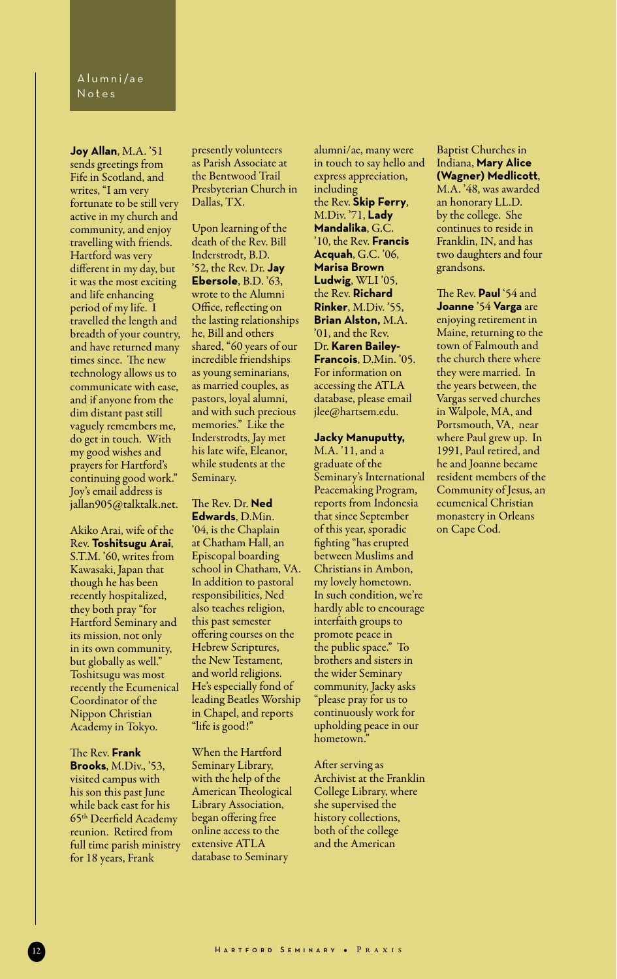**Joy Allan**, M.A. '51 sends greetings from Fife in Scotland, and writes, "I am very fortunate to be still very active in my church and community, and enjoy travelling with friends. Hartford was very different in my day, but it was the most exciting and life enhancing period of my life. I travelled the length and breadth of your country, and have returned many times since. The new technology allows us to communicate with ease, and if anyone from the dim distant past still vaguely remembers me, do get in touch. With my good wishes and prayers for Hartford's continuing good work." Joy's email address is jallan905@talktalk.net.

Akiko Arai, wife of the Rev. **Toshitsugu Arai**, S.T.M. '60, writes from Kawasaki, Japan that though he has been recently hospitalized, they both pray "for Hartford Seminary and its mission, not only in its own community, but globally as well." Toshitsugu was most recently the Ecumenical Coordinator of the Nippon Christian Academy in Tokyo.

The Rev. **Frank Brooks**, M.Div., '53, visited campus with his son this past June while back east for his 65th Deerfield Academy reunion. Retired from full time parish ministry for 18 years, Frank

presently volunteers as Parish Associate at the Bentwood Trail Presbyterian Church in Dallas, TX.

Upon learning of the death of the Rev. Bill Inderstrodt, B.D. '52, the Rev. Dr. **Jay Ebersole**, B.D. '63, wrote to the Alumni Office, reflecting on the lasting relationships he, Bill and others shared, "60 years of our incredible friendships as young seminarians, as married couples, as pastors, loyal alumni, and with such precious memories." Like the Inderstrodts, Jay met his late wife, Eleanor, while students at the Seminary.

The Rev. Dr. **Ned Edwards**, D.Min. '04, is the Chaplain at Chatham Hall, an Episcopal boarding school in Chatham, VA. In addition to pastoral responsibilities, Ned also teaches religion, this past semester offering courses on the Hebrew Scriptures, the New Testament, and world religions. He's especially fond of leading Beatles Worship in Chapel, and reports "life is good!"

When the Hartford Seminary Library, with the help of the American Theological Library Association, began offering free online access to the extensive ATLA database to Seminary

alumni/ae, many were in touch to say hello and express appreciation, including the Rev. **Skip Ferry**, M.Div. '71, **Lady Mandalika**, G.C. '10, the Rev. **Francis Acquah**, G.C. '06, **Marisa Brown Ludwig**, WLI '05, the Rev. **Richard Rinker**, M.Div. '55, **Brian Alston,** M.A. '01, and the Rev. Dr. **Karen Bailey-Francois**, D.Min. '05. For information on accessing the ATLA database, please email jlee@hartsem.edu.

#### **Jacky Manuputty,**

M.A. '11, and a graduate of the Seminary's International Peacemaking Program, reports from Indonesia that since September of this year, sporadic fighting "has erupted between Muslims and Christians in Ambon, my lovely hometown. In such condition, we're hardly able to encourage interfaith groups to promote peace in the public space." To brothers and sisters in the wider Seminary community, Jacky asks "please pray for us to continuously work for upholding peace in our hometown.'

After serving as Archivist at the Franklin College Library, where she supervised the history collections, both of the college and the American

Baptist Churches in Indiana, **Mary Alice (Wagner) Medlicott**, M.A. '48, was awarded an honorary LL.D. by the college. She continues to reside in Franklin, IN, and has two daughters and four grandsons.

The Rev. **Paul** '54 and **Joanne** '54 **Varga** are enjoying retirement in Maine, returning to the town of Falmouth and the church there where they were married. In the years between, the Vargas served churches in Walpole, MA, and Portsmouth, VA, near where Paul grew up. In 1991, Paul retired, and he and Joanne became resident members of the Community of Jesus, an ecumenical Christian monastery in Orleans on Cape Cod.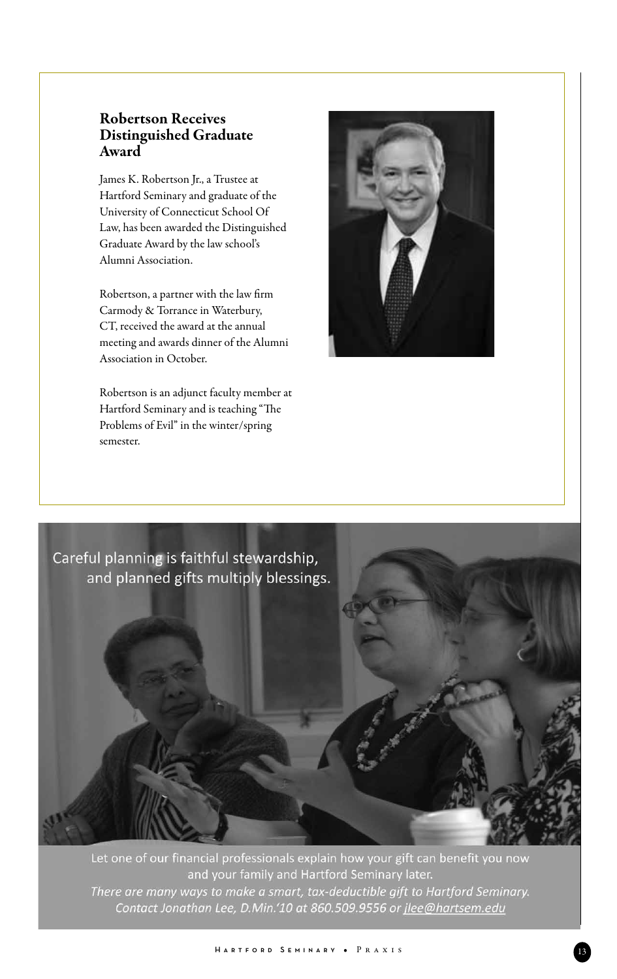#### Robertson Receives Distinguished Graduate Award

James K. Robertson Jr., a Trustee at Hartford Seminary and graduate of the University of Connecticut School Of Law, has been awarded the Distinguished Graduate Award by the law school's Alumni Association.

Robertson, a partner with the law firm Carmody & Torrance in Waterbury, CT, received the award at the annual meeting and awards dinner of the Alumni Association in October.

Robertson is an adjunct faculty member at Hartford Seminary and is teaching "The Problems of Evil" in the winter/spring semester.





Let one of our financial professionals explain how your gift can benefit you now and your family and Hartford Seminary later. There are many ways to make a smart, tax-deductible gift to Hartford Seminary. Contact Jonathan Lee, D.Min.'10 at 860.509.9556 or jlee@hartsem.edu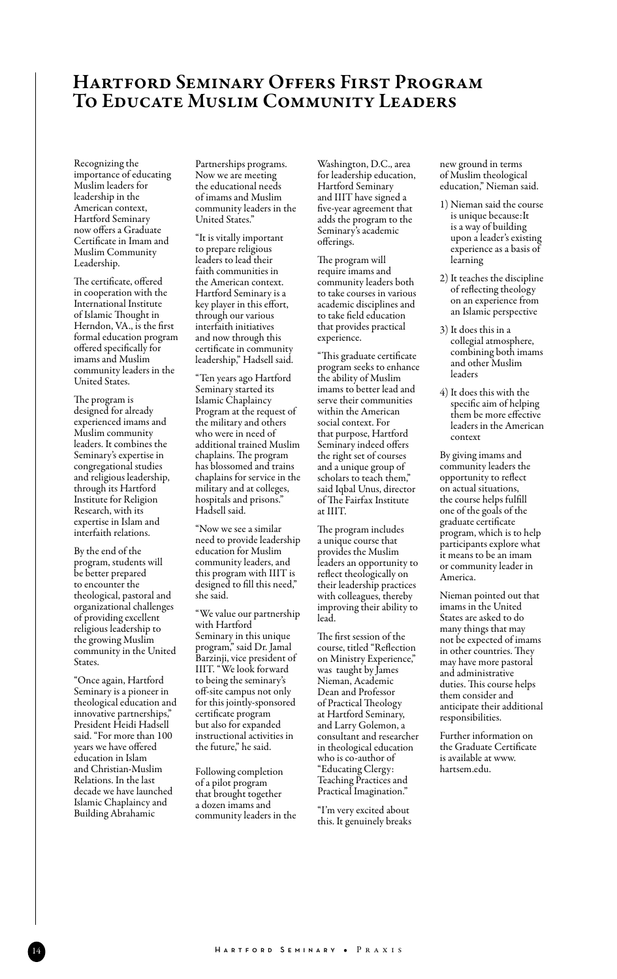## Hartford Seminary Offers First Program To Educate Muslim Community Leaders

Recognizing the importance of educating Muslim leaders for leadership in the American context, Hartford Seminary now offers a Graduate Certificate in Imam and Muslim Community Leadership.

The certificate, offered in cooperation with the International Institute of Islamic Thought in Herndon, VA., is the first formal education program offered specifically for imams and Muslim community leaders in the United States.

The program is designed for already experienced imams and Muslim community leaders. It combines the Seminary's expertise in congregational studies and religious leadership, through its Hartford Institute for Religion Research, with its expertise in Islam and interfaith relations.

By the end of the program, students will be better prepared to encounter the theological, pastoral and organizational challenges of providing excellent religious leadership to the growing Muslim community in the United States.

"Once again, Hartford Seminary is a pioneer in theological education and innovative partnerships," President Heidi Hadsell said. "For more than 100 years we have offered .<br>education in Islam and Christian-Muslim Relations. In the last decade we have launched Islamic Chaplaincy and Building Abrahamic

Partnerships programs. Now we are meeting the educational needs of imams and Muslim community leaders in the United States."

"It is vitally important to prepare religious leaders to lead their faith communities in the American context. Hartford Seminary is a key player in this effort, through our various interfaith initiatives and now through this certificate in community leadership," Hadsell said.

"Ten years ago Hartford Seminary started its Islamic Chaplaincy Program at the request of the military and others who were in need of additional trained Muslim chaplains. The program has blossomed and trains chaplains for service in the military and at colleges, hospitals and prisons." Hadsell said.

"Now we see a similar need to provide leadership education for Muslim community leaders, and this program with IIIT is designed to fill this need," she said.

"We value our partnership with Hartford Seminary in this unique program," said Dr. Jamal Barzinji, vice president of IIIT. "We look forward to being the seminary's off-site campus not only for this jointly-sponsored certificate program but also for expanded instructional activities in the future," he said.

Following completion of a pilot program that brought together a dozen imams and community leaders in the

Washington, D.C., area for leadership education, Hartford Seminary and IIIT have signed a five-year agreement that adds the program to the Seminary's academic offerings.

The program will require imams and community leaders both to take courses in various academic disciplines and to take field education that provides practical experience.

"This graduate certificate program seeks to enhance the ability of Muslim imams to better lead and serve their communities within the American social context. For that purpose, Hartford Seminary indeed offers the right set of courses and a unique group of scholars to teach them," said Iqbal Unus, director of The Fairfax Institute at IIIT.

The program includes a unique course that provides the Muslim leaders an opportunity to reflect theologically on their leadership practices with colleagues, thereby improving their ability to lead.

The first session of the course, titled "Reflection on Ministry Experience," was taught by James Nieman, Academic Dean and Professor of Practical Theology at Hartford Seminary, and Larry Golemon, a consultant and researcher in theological education who is co-author of "Educating Clergy: Teaching Practices and Practical Imagination."

"I'm very excited about this. It genuinely breaks

new ground in terms of Muslim theological education," Nieman said.

- 1) Nieman said the course is unique because:It is a way of building upon a leader's existing experience as a basis of learning
- 2) It teaches the discipline of reflecting theology on an experience from an Islamic perspective
- 3) It does this in a collegial atmosphere, combining both imams and other Muslim leaders
- 4) It does this with the specific aim of helping them be more effective leaders in the American context

By giving imams and community leaders the opportunity to reflect on actual situations, the course helps fulfill one of the goals of the graduate certificate program, which is to help participants explore what it means to be an imam or community leader in America.

Nieman pointed out that imams in the United States are asked to do many things that may not be expected of imams in other countries. They may have more pastoral and administrative duties. This course helps them consider and anticipate their additional responsibilities.

Further information on the Graduate Certificate is available at www. hartsem.edu.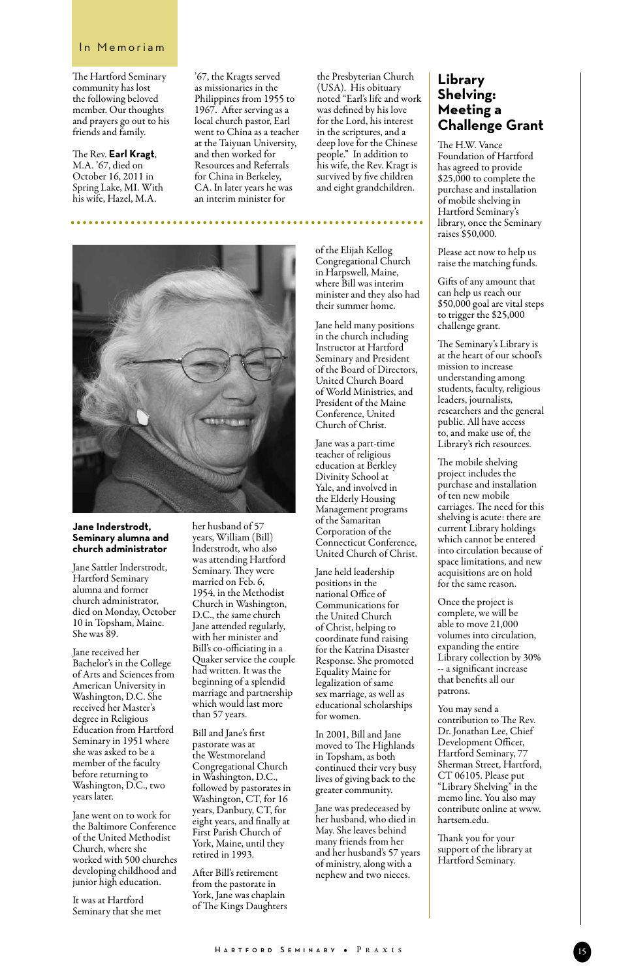#### In Memoriam

The Hartford Seminary community has lost the following beloved member. Our thoughts and prayers go out to his friends and family.

The Rev. **Earl Kragt**, M.A. '67, died on October 16, 2011 in Spring Lake, MI. With his wife, Hazel, M.A.

. . . . . . . .

'67, the Kragts served as missionaries in the Philippines from 1955 to 1967. After serving as a local church pastor, Earl went to China as a teacher at the Taiyuan University, and then worked for Resources and Referrals for China in Berkeley, CA. In later years he was an interim minister for

**Jane Inderstrodt, Seminary alumna and church administrator**

Jane Sattler Inderstrodt, Hartford Seminary alumna and former church administrator, died on Monday, October 10 in Topsham, Maine. She was 89.

Jane received her Bachelor's in the College of Arts and Sciences from American University in Washington, D.C. She received her Master's degree in Religious Education from Hartford Seminary in 1951 where she was asked to be a member of the faculty before returning to Washington, D.C., two years later.

Jane went on to work for the Baltimore Conference of the United Methodist Church, where she worked with 500 churches developing childhood and junior high education.

It was at Hartford Seminary that she met her husband of 57 years, William (Bill) Inderstrodt, who also was attending Hartford Seminary. They were married on Feb. 6, 1954, in the Methodist Church in Washington, D.C., the same church Jane attended regularly, with her minister and Bill's co-officiating in a Quaker service the couple had written. It was the beginning of a splendid marriage and partnership which would last more than 57 years.

Bill and Jane's first pastorate was at the Westmoreland Congregational Church in Washington, D.C., followed by pastorates in Washington, CT, for 16 years, Danbury, CT, for eight years, and finally at First Parish Church of York, Maine, until they retired in 1993.

After Bill's retirement from the pastorate in York, Jane was chaplain of The Kings Daughters the Presbyterian Church (USA). His obituary noted "Earl's life and work was defined by his love for the Lord, his interest in the scriptures, and a deep love for the Chinese people." In addition to his wife, the Rev. Kragt is survived by five children and eight grandchildren.

of the Elijah Kellog Congregational Church in Harpswell, Maine, where Bill was interim minister and they also had their summer home.

. . . . . . . . . . . . . . . . . . .

Jane held many positions in the church including Instructor at Hartford Seminary and President of the Board of Directors, United Church Board of World Ministries, and President of the Maine Conference, United Church of Christ.

Jane was a part-time teacher of religious education at Berkley Divinity School at Yale, and involved in the Elderly Housing Management programs of the Samaritan Corporation of the Connecticut Conference, United Church of Christ.

Jane held leadership positions in the national Office of Communications for the United Church of Christ, helping to coordinate fund raising for the Katrina Disaster Response. She promoted Equality Maine for legalization of same sex marriage, as well as educational scholarships for women.

In 2001, Bill and Jane moved to The Highlands in Topsham, as both continued their very busy lives of giving back to the greater community.

Jane was predeceased by her husband, who died in May. She leaves behind many friends from her and her husband's 57 years of ministry, along with a nephew and two nieces.

#### **Library Shelving: Meeting a Challenge Grant**

The H.W. Vance Foundation of Hartford has agreed to provide \$25,000 to complete the purchase and installation of mobile shelving in Hartford Seminary's library, once the Seminary raises \$50,000.

Please act now to help us raise the matching funds.

Gifts of any amount that can help us reach our \$50,000 goal are vital steps to trigger the \$25,000 challenge grant.

The Seminary's Library is at the heart of our school's mission to increase understanding among students, faculty, religious leaders, journalists, researchers and the general public. All have access to, and make use of, the Library's rich resources.

The mobile shelving project includes the purchase and installation of ten new mobile carriages. The need for this shelving is acute: there are current Library holdings which cannot be entered into circulation because of space limitations, and new acquisitions are on hold for the same reason.

Once the project is complete, we will be able to move 21,000 volumes into circulation, expanding the entire Library collection by 30% -- a significant increase that benefits all our patrons.

You may send a contribution to The Rev. Dr. Jonathan Lee, Chief Development Officer, Hartford Seminary, 77 Sherman Street, Hartford, CT 06105. Please put "Library Shelving" in the memo line. You also may contribute online at www. hartsem.edu.

Thank you for your support of the library at Hartford Seminary.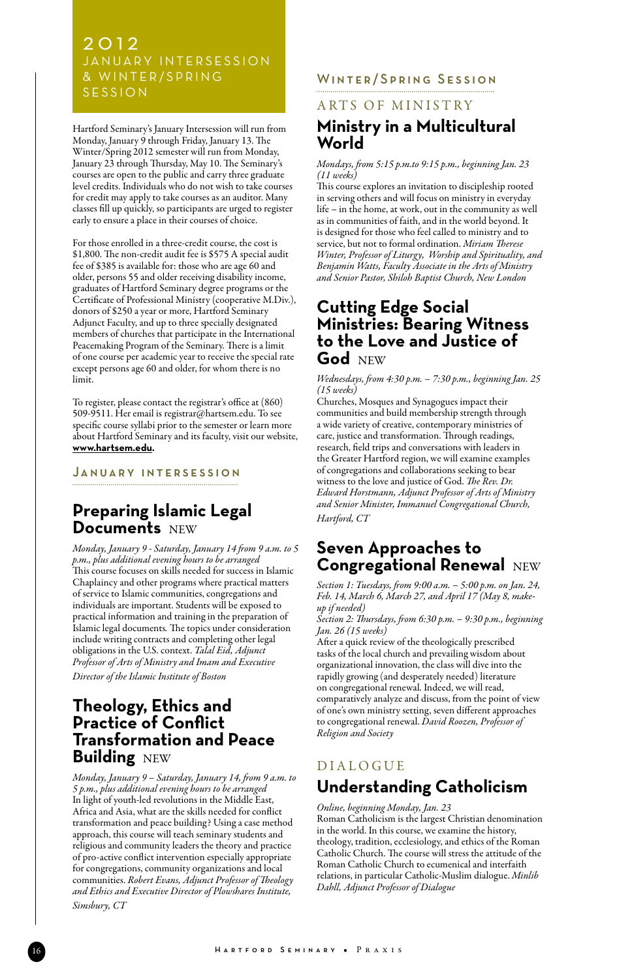### 2 0 1 2 JANUARY INTERSESSION & WINTER/SPRING **SESSION**

Hartford Seminary's January Intersession will run from Monday, January 9 through Friday, January 13. The Winter/Spring 2012 semester will run from Monday, January 23 through Thursday, May 10. The Seminary's courses are open to the public and carry three graduate level credits. Individuals who do not wish to take courses for credit may apply to take courses as an auditor. Many classes fill up quickly, so participants are urged to register early to ensure a place in their courses of choice.

For those enrolled in a three-credit course, the cost is \$1,800. The non-credit audit fee is \$575 A special audit fee of \$385 is available for: those who are age 60 and older, persons 55 and older receiving disability income, graduates of Hartford Seminary degree programs or the Certificate of Professional Ministry (cooperative M.Div.), donors of \$250 a year or more, Hartford Seminary Adjunct Faculty, and up to three specially designated members of churches that participate in the International Peacemaking Program of the Seminary. There is a limit of one course per academic year to receive the special rate except persons age 60 and older, for whom there is no limit.

To register, please contact the registrar's office at (860) 509-9511. Her email is registrar@hartsem.edu. To see specific course syllabi prior to the semester or learn more about Hartford Seminary and its faculty, visit our website, **www.hartsem.edu.**

#### JANUARY INTERSESSION

## **Preparing Islamic Legal Documents** NEW

*Monday, January 9 - Saturday, January 14 from 9 a.m. to 5 p.m., plus additional evening hours to be arranged* This course focuses on skills needed for success in Islamic Chaplaincy and other programs where practical matters of service to Islamic communities, congregations and individuals are important. Students will be exposed to practical information and training in the preparation of Islamic legal documents*.* The topics under consideration include writing contracts and completing other legal obligations in the U.S. context. *Talal Eid, Adjunct Professor of Arts of Ministry and Imam and Executive Director of the Islamic Institute of Boston*

## **Theology, Ethics and Practice of Conflict Transformation and Peace Building** NEW

*Monday, January 9 – Saturday, January 14, from 9 a.m. to 5 p.m., plus additional evening hours to be arranged* In light of youth-led revolutions in the Middle East, Africa and Asia, what are the skills needed for conflict transformation and peace building? Using a case method approach, this course will teach seminary students and religious and community leaders the theory and practice of pro-active conflict intervention especially appropriate for congregations, community organizations and local communities. *Robert Evans, Adjunct Professor of Theology and Ethics and Executive Director of Plowshares Institute, Simsbury, CT*

#### WINTER/SPRING SESSION

#### ARTS OF MINISTRY

## **Ministry in a Multicultural World**

#### *Mondays, from 5:15 p.m.to 9:15 p.m., beginning Jan. 23 (11 weeks)*

This course explores an invitation to discipleship rooted in serving others and will focus on ministry in everyday life – in the home, at work, out in the community as well as in communities of faith, and in the world beyond. It is designed for those who feel called to ministry and to service, but not to formal ordination. *Miriam Therese Winter, Professor of Liturgy, Worship and Spirituality, and Benjamin Watts, Faculty Associate in the Arts of Ministry and Senior Pastor, Shiloh Baptist Church, New London*

## **Cutting Edge Social Ministries: Bearing Witness to the Love and Justice of God** NEW

*Wednesdays, from 4:30 p.m. – 7:30 p.m., beginning Jan. 25 (15 weeks)* 

Churches, Mosques and Synagogues impact their communities and build membership strength through a wide variety of creative, contemporary ministries of care, justice and transformation. Through readings, research, field trips and conversations with leaders in the Greater Hartford region, we will examine examples of congregations and collaborations seeking to bear witness to the love and justice of God. *The Rev. Dr. Edward Horstmann, Adjunct Professor of Arts of Ministry and Senior Minister, Immanuel Congregational Church, Hartford, CT*

## **Seven Approaches to Congregational Renewal** NEW

*Section 1: Tuesdays, from 9:00 a.m. – 5:00 p.m. on Jan. 24, Feb. 14, March 6, March 27, and April 17 (May 8, makeup if needed)*

*Section 2: Thursdays, from 6:30 p.m. – 9:30 p.m., beginning Jan. 26 (15 weeks)* 

After a quick review of the theologically prescribed tasks of the local church and prevailing wisdom about organizational innovation, the class will dive into the rapidly growing (and desperately needed) literature on congregational renewal. Indeed, we will read, comparatively analyze and discuss, from the point of view of one's own ministry setting, seven different approaches to congregational renewal. *David Roozen, Professor of Religion and Society*

# **DIALOGUE Understanding Catholicism**

#### *Online, beginning Monday, Jan. 23*

Roman Catholicism is the largest Christian denomination in the world. In this course, we examine the history, theology, tradition, ecclesiology, and ethics of the Roman Catholic Church. The course will stress the attitude of the Roman Catholic Church to ecumenical and interfaith relations, in particular Catholic-Muslim dialogue. *Minlib Dahll, Adjunct Professor of Dialogue*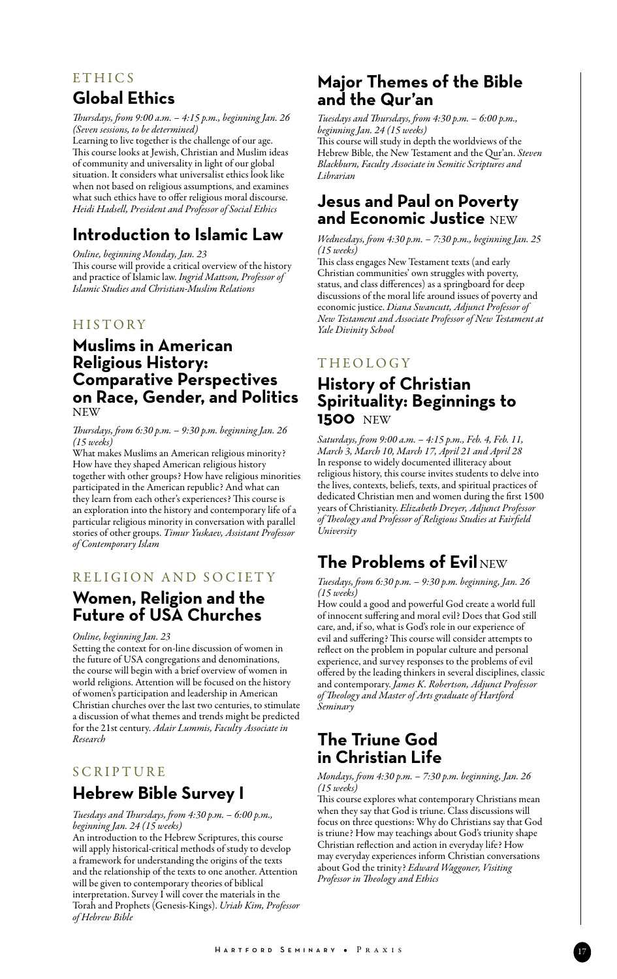# **ETHICS Global Ethics**

*Thursdays, from 9:00 a.m. – 4:15 p.m., beginning Jan. 26 (Seven sessions, to be determined)*

Learning to live together is the challenge of our age. This course looks at Jewish, Christian and Muslim ideas of community and universality in light of our global situation. It considers what universalist ethics look like when not based on religious assumptions, and examines what such ethics have to offer religious moral discourse. *Heidi Hadsell, President and Professor of Social Ethics*

# **Introduction to Islamic Law**

*Online, beginning Monday, Jan. 23* 

This course will provide a critical overview of the history and practice of Islamic law. *Ingrid Mattson, Professor of Islamic Studies and Christian-Muslim Relations*

#### **HISTORY**

## **Muslims in American Religious History: Comparative Perspectives on Race, Gender, and Politics**  NEW

#### *Thursdays, from 6:30 p.m. – 9:30 p.m. beginning Jan. 26 (15 weeks)*

What makes Muslims an American religious minority? How have they shaped American religious history together with other groups? How have religious minorities participated in the American republic? And what can they learn from each other's experiences? This course is an exploration into the history and contemporary life of a particular religious minority in conversation with parallel stories of other groups. *Timur Yuskaev, Assistant Professor of Contemporary Islam*

## R eligion and society

## **Women, Religion and the Future of USA Churches**

*Online, beginning Jan. 23*

Setting the context for on-line discussion of women in the future of USA congregations and denominations, the course will begin with a brief overview of women in world religions. Attention will be focused on the history of women's participation and leadership in American Christian churches over the last two centuries, to stimulate a discussion of what themes and trends might be predicted for the 21st century. *Adair Lummis, Faculty Associate in Research*

## **SCRIPTURE Hebrew Bible Survey I**

*Tuesdays and Thursdays, from 4:30 p.m. – 6:00 p.m.,* 

*beginning Jan. 24 (15 weeks)* An introduction to the Hebrew Scriptures, this course will apply historical-critical methods of study to develop a framework for understanding the origins of the texts and the relationship of the texts to one another. Attention will be given to contemporary theories of biblical interpretation. Survey  $\tilde{I}$  will cover the materials in the Torah and Prophets (Genesis-Kings). *Uriah Kim, Professor of Hebrew Bible*

## **Major Themes of the Bible and the Qur'an**

*Tuesdays and Thursdays, from 4:30 p.m. – 6:00 p.m., beginning Jan. 24 (15 weeks)*

This course will study in depth the worldviews of the Hebrew Bible, the New Testament and the Qur'an. *Steven Blackburn, Faculty Associate in Semitic Scriptures and Librarian*

## **Jesus and Paul on Poverty and Economic Justice** NEW

*Wednesdays, from 4:30 p.m. – 7:30 p.m., beginning Jan. 25 (15 weeks)* 

This class engages New Testament texts (and early Christian communities' own struggles with poverty, status, and class differences) as a springboard for deep discussions of the moral life around issues of poverty and economic justice. *Diana Swancutt, Adjunct Professor of New Testament and Associate Professor of New Testament at Yale Divinity School*

## **THEOLOGY**

## **History of Christian Spirituality: Beginnings to 1500** NEW

*Saturdays, from 9:00 a.m. – 4:15 p.m., Feb. 4, Feb. 11, March 3, March 10, March 17, April 21 and April 28* In response to widely documented illiteracy about religious history, this course invites students to delve into the lives, contexts, beliefs, texts, and spiritual practices of dedicated Christian men and women during the first 1500 years of Christianity. *Elizabeth Dreyer, Adjunct Professor of Theology and Professor of Religious Studies at Fairfield University*

# **The Problems of Evil** NEW

*Tuesdays, from 6:30 p.m. – 9:30 p.m. beginning, Jan. 26 (15 weeks)*

How could a good and powerful God create a world full of innocent suffering and moral evil? Does that God still care, and, if so, what is God's role in our experience of evil and suffering? This course will consider attempts to reflect on the problem in popular culture and personal experience, and survey responses to the problems of evil offered by the leading thinkers in several disciplines, classic and contemporary. *James K. Robertson, Adjunct Professor of Theology and Master of Arts graduate of Hartford Seminary*

# **The Triune God in Christian Life**

#### *Mondays, from 4:30 p.m. – 7:30 p.m. beginning, Jan. 26 (15 weeks)*

This course explores what contemporary Christians mean when they say that God is triune. Class discussions will focus on three questions: Why do Christians say that God is triune? How may teachings about God's triunity shape Christian reflection and action in everyday life? How may everyday experiences inform Christian conversations about God the trinity? *Edward Waggoner, Visiting Professor in Theology and Ethics*